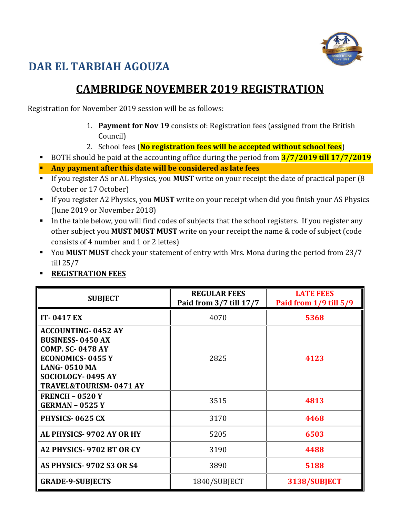

## **DAR EL TARBIAH AGOUZA**

## **CAMBRIDGE NOVEMBER 2019 REGISTRATION**

Registration for November 2019 session will be as follows:

- 1. **Payment for Nov 19** consists of: Registration fees (assigned from the British Council)
- 2. School fees (**No registration fees will be accepted without school fees**)
- BOTH should be paid at the accounting office during the period from **3/7/2019 till 17/7/2019**
- **Any payment after this date will be considered as late fees**
- If you register AS or AL Physics, you **MUST** write on your receipt the date of practical paper (8 October or 17 October)
- If you register A2 Physics, you **MUST** write on your receipt when did you finish your AS Physics (June 2019 or November 2018)
- In the table below, you will find codes of subjects that the school registers. If you register any other subject you **MUST MUST MUST** write on your receipt the name & code of subject (code consists of 4 number and 1 or 2 lettes)
- You **MUST MUST** check your statement of entry with Mrs. Mona during the period from 23/7 till 25/7
- **REGISTRATION FEES**

| <b>SUBJECT</b>                                                                                                                                                                              | <b>REGULAR FEES</b><br>Paid from 3/7 till 17/7 | <b>LATE FEES</b><br>Paid from 1/9 till 5/9 |
|---------------------------------------------------------------------------------------------------------------------------------------------------------------------------------------------|------------------------------------------------|--------------------------------------------|
| <b>IT-0417 EX</b>                                                                                                                                                                           | 4070                                           | 5368                                       |
| <b>ACCOUNTING-0452 AY</b><br><b>BUSINESS-0450 AX</b><br><b>COMP. SC-0478 AY</b><br><b>ECONOMICS-0455 Y</b><br><b>LANG-0510 MA</b><br>SOCIOLOGY-0495 AY<br><b>TRAVEL&amp;TOURISM-0471 AY</b> | 2825                                           | 4123                                       |
| FRENCH $-$ 0520 Y<br><b>GERMAN - 0525 Y</b>                                                                                                                                                 | 3515                                           | 4813                                       |
| PHYSICS-0625 CX                                                                                                                                                                             | 3170                                           | 4468                                       |
| AL PHYSICS-9702 AY OR HY                                                                                                                                                                    | 5205                                           | 6503                                       |
| A2 PHYSICS-9702 BT OR CY                                                                                                                                                                    | 3190                                           | 4488                                       |
| <b>AS PHYSICS-9702 S3 OR S4</b>                                                                                                                                                             | 3890                                           | 5188                                       |
| <b>GRADE-9-SUBJECTS</b>                                                                                                                                                                     | 1840/SUBJECT                                   | 3138/SUBJECT                               |